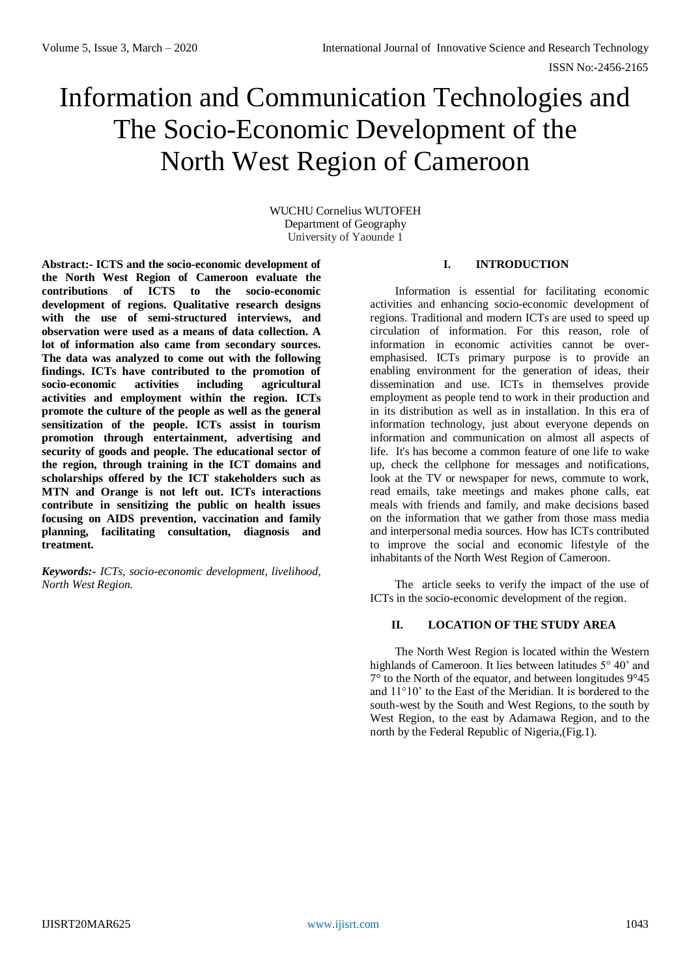# Information and Communication Technologies and The Socio-Economic Development of the North West Region of Cameroon

WUCHU Cornelius WUTOFEH Department of Geography University of Yaounde 1

**Abstract:- ICTS and the socio-economic development of the North West Region of Cameroon evaluate the contributions of ICTS to the socio-economic development of regions. Qualitative research designs with the use of semi-structured interviews, and observation were used as a means of data collection. A lot of information also came from secondary sources. The data was analyzed to come out with the following findings. ICTs have contributed to the promotion of socio-economic activities including agricultural activities and employment within the region. ICTs promote the culture of the people as well as the general sensitization of the people. ICTs assist in tourism promotion through entertainment, advertising and security of goods and people. The educational sector of the region, through training in the ICT domains and scholarships offered by the ICT stakeholders such as MTN and Orange is not left out. ICTs interactions contribute in sensitizing the public on health issues focusing on AIDS prevention, vaccination and family planning, facilitating consultation, diagnosis and treatment.**

*Keywords:- ICTs, socio-economic development, livelihood, North West Region.*

# **I. INTRODUCTION**

Information is essential for facilitating economic activities and enhancing socio-economic development of regions. Traditional and modern ICTs are used to speed up circulation of information. For this reason, role of information in economic activities cannot be overemphasised. ICTs primary purpose is to provide an enabling environment for the generation of ideas, their dissemination and use. ICTs in themselves provide employment as people tend to work in their production and in its distribution as well as in installation. In this era of information technology, just about everyone depends on information and communication on almost all aspects of life. It's has become a common feature of one life to wake up, check the cellphone for messages and notifications, look at the TV or newspaper for news, commute to work, read emails, take meetings and makes phone calls, eat meals with friends and family, and make decisions based on the information that we gather from those mass media and interpersonal media sources. How has ICTs contributed to improve the social and economic lifestyle of the inhabitants of the North West Region of Cameroon.

The article seeks to verify the impact of the use of ICTs in the socio-economic development of the region.

# **II. LOCATION OF THE STUDY AREA**

The North West Region is located within the Western highlands o[f Cameroon.](http://en.wikipedia.org/wiki/Cameroon) It lies between latitudes 5° 40' and 7° to the North of the equator, and between longitudes 9°45 and 11°10' to the East of the Meridian. It is bordered to the south-west by the [South and West](http://en.wikipedia.org/wiki/Southwest_Region_%28Cameroon%29) Regions, to the south by [West Region,](http://en.wikipedia.org/wiki/West_Region_%28Cameroon%29) to the east by [Adamawa Region,](http://en.wikipedia.org/wiki/Adamawa_Region) and to the north by th[e Federal Republic of Nigeria,](http://en.wikipedia.org/wiki/Federal_Republic_of_Nigeria)(Fig.1).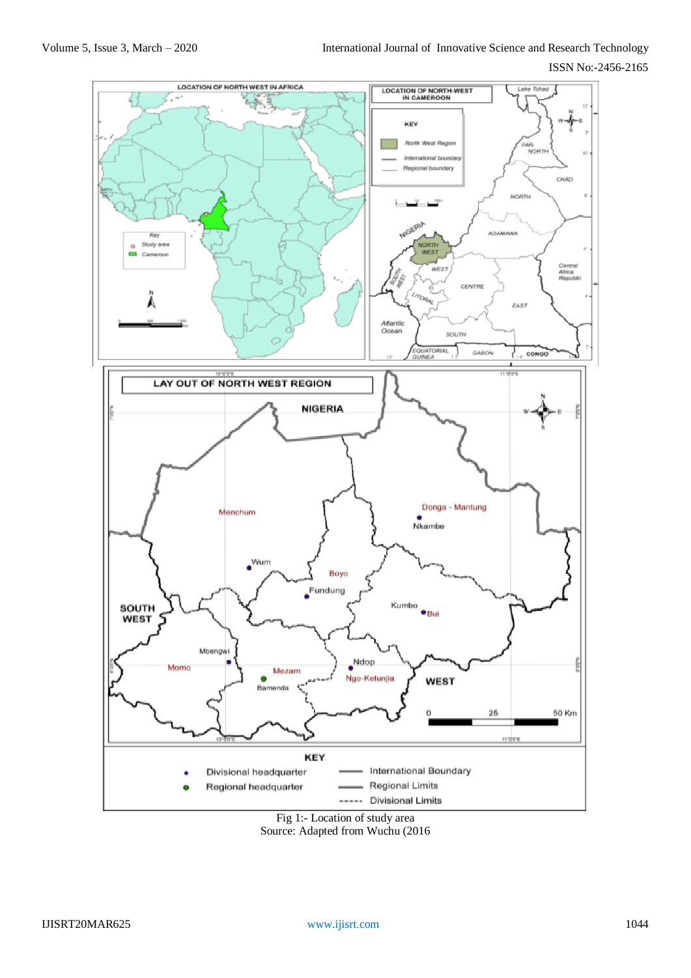ISSN No:-2456-2165



Fig 1:- Location of study area Source: Adapted from Wuchu (2016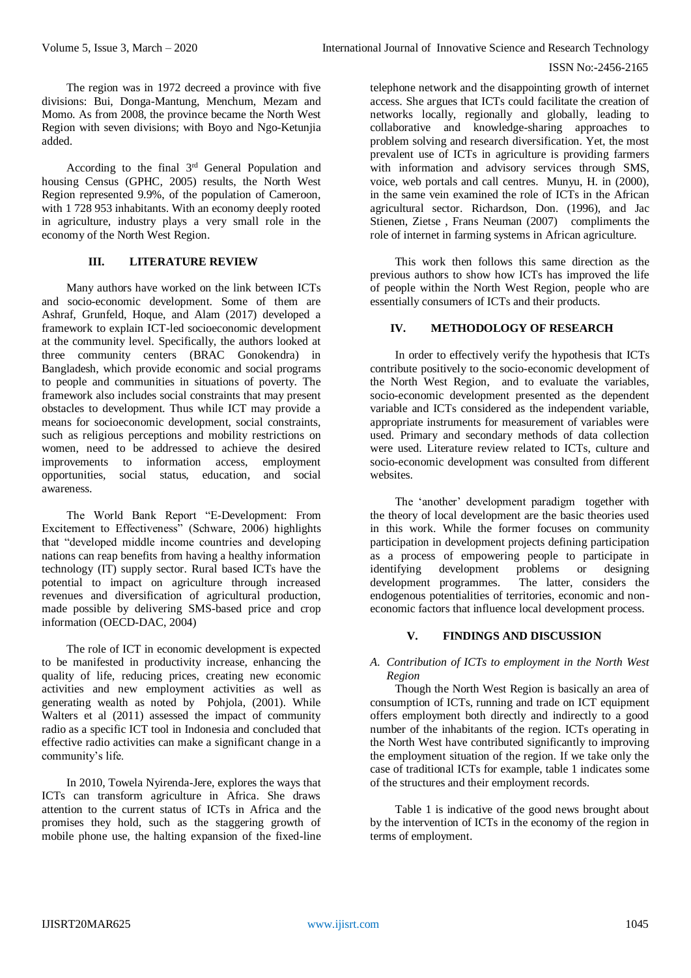The region was in 1972 decreed a province with five divisions: [Bui,](http://en.wikipedia.org/wiki/Bui) [Donga-Mantung,](http://en.wikipedia.org/wiki/Donga-Mantung) [Menchum,](http://en.wikipedia.org/wiki/Menchum) [Mezam](http://en.wikipedia.org/wiki/Mezam) and [Momo.](http://en.wikipedia.org/wiki/Momo_%28department%29) As from 2008, the province became the North West Region with seven divisions; with [Boyo](http://en.wikipedia.org/wiki/Boyo_%28department%29) and [Ngo-Ketunjia](http://en.wikipedia.org/wiki/Ngo-Ketunjia)  added.

According to the final 3rd General Population and housing Census (GPHC, 2005) results, the North West Region represented 9.9%, of the population of Cameroon, with 1 728 953 inhabitants. With an economy deeply rooted in agriculture, industry plays a very small role in the economy of the North West Region.

# **III. LITERATURE REVIEW**

Many authors have worked on the link between ICTs and socio-economic development. Some of them are Ashraf, Grunfeld, Hoque, and Alam [\(2017\)](https://www.tandfonline.com/doi/full/10.1080/02681102.2019.1596654) developed a framework to explain ICT-led socioeconomic development at the community level. Specifically, the authors looked at three community centers (BRAC Gonokendra) in Bangladesh, which provide economic and social programs to people and communities in situations of poverty. The framework also includes social constraints that may present obstacles to development. Thus while ICT may provide a means for socioeconomic development, social constraints, such as religious perceptions and mobility restrictions on women, need to be addressed to achieve the desired improvements to information access, employment opportunities, social status, education, and social awareness.

The World Bank Report "E-Development: From Excitement to Effectiveness" (Schware, 2006) highlights that "developed middle income countries and developing nations can reap benefits from having a healthy information technology (IT) supply sector. Rural based ICTs have the potential to impact on agriculture through increased revenues and diversification of agricultural production, made possible by delivering SMS-based price and crop information (OECD-DAC, 2004)

The role of ICT in economic development is expected to be manifested in productivity increase, enhancing the quality of life, reducing prices, creating new economic activities and new employment activities as well as generating wealth as noted by Pohjola, (2001). While Walters et al (2011) assessed the impact of community radio as a specific ICT tool in Indonesia and concluded that effective radio activities can make a significant change in a community's life.

In 2010, Towela Nyirenda-Jere, explores the ways that ICTs can transform agriculture in Africa. She draws attention to the current status of ICTs in Africa and the promises they hold, such as the staggering growth of mobile phone use, the halting expansion of the fixed-line

telephone network and the disappointing growth of internet access. She argues that ICTs could facilitate the creation of networks locally, regionally and globally, leading to collaborative and knowledge-sharing approaches to problem solving and research diversification. Yet, the most prevalent use of ICTs in agriculture is providing farmers with information and advisory services through SMS, voice, web portals and call centres. Munyu, H. in (2000), in the same vein examined the role of ICTs in the African agricultural sector. Richardson, Don. (1996), and Jac Stienen, Zietse , Frans Neuman (2007) compliments the role of internet in farming systems in African agriculture.

This work then follows this same direction as the previous authors to show how ICTs has improved the life of people within the North West Region, people who are essentially consumers of ICTs and their products.

# **IV. METHODOLOGY OF RESEARCH**

In order to effectively verify the hypothesis that ICTs contribute positively to the socio-economic development of the North West Region, and to evaluate the variables, socio-economic development presented as the dependent variable and ICTs considered as the independent variable, appropriate instruments for measurement of variables were used. Primary and secondary methods of data collection were used. Literature review related to ICTs, culture and socio-economic development was consulted from different websites.

The 'another' development paradigm together with the theory of local development are the basic theories used in this work. While the former focuses on community participation in development projects defining participation as a process of empowering people to participate in identifying development problems or designing identifying development problems or designing<br>development programmes. The latter, considers the The latter, considers the endogenous potentialities of territories, economic and noneconomic factors that influence local development process.

# **V. FINDINGS AND DISCUSSION**

## *A. Contribution of ICTs to employment in the North West Region*

Though the North West Region is basically an area of consumption of ICTs, running and trade on ICT equipment offers employment both directly and indirectly to a good number of the inhabitants of the region. ICTs operating in the North West have contributed significantly to improving the employment situation of the region. If we take only the case of traditional ICTs for example, table 1 indicates some of the structures and their employment records.

Table 1 is indicative of the good news brought about by the intervention of ICTs in the economy of the region in terms of employment.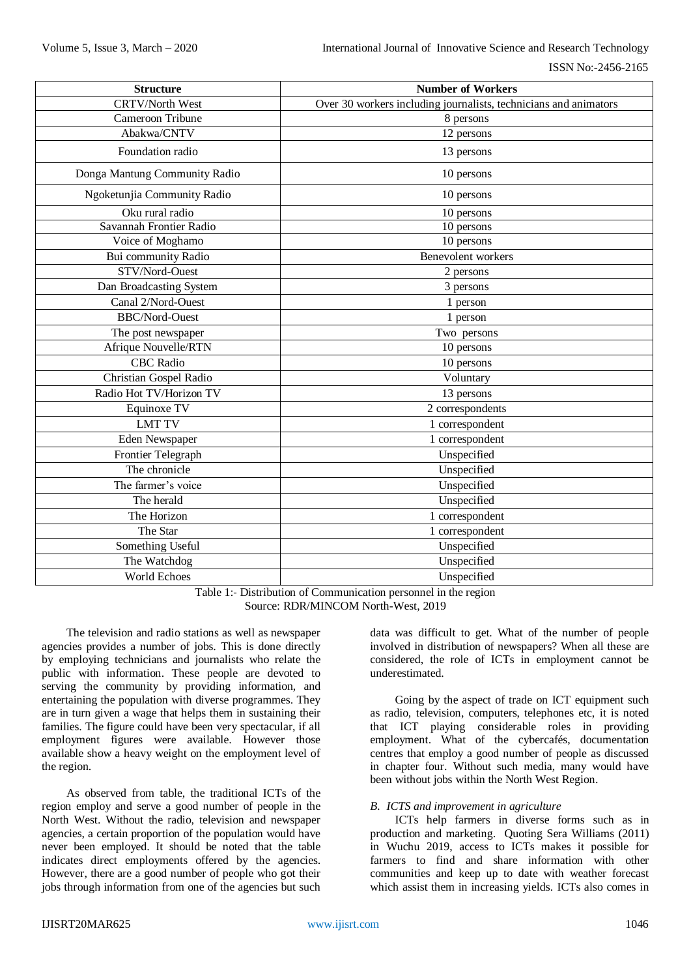| <b>Structure</b>              | <b>Number of Workers</b>                                         |
|-------------------------------|------------------------------------------------------------------|
| <b>CRTV/North West</b>        | Over 30 workers including journalists, technicians and animators |
| Cameroon Tribune              | 8 persons                                                        |
| Abakwa/CNTV                   | 12 persons                                                       |
| Foundation radio              | 13 persons                                                       |
| Donga Mantung Community Radio | 10 persons                                                       |
| Ngoketunjia Community Radio   | 10 persons                                                       |
| Oku rural radio               | 10 persons                                                       |
| Savannah Frontier Radio       | 10 persons                                                       |
| Voice of Moghamo              | 10 persons                                                       |
| Bui community Radio           | Benevolent workers                                               |
| STV/Nord-Ouest                | 2 persons                                                        |
| Dan Broadcasting System       | 3 persons                                                        |
| Canal 2/Nord-Ouest            | 1 person                                                         |
| <b>BBC/Nord-Ouest</b>         | 1 person                                                         |
| The post newspaper            | Two persons                                                      |
| Afrique Nouvelle/RTN          | 10 persons                                                       |
| <b>CBC</b> Radio              | 10 persons                                                       |
| Christian Gospel Radio        | Voluntary                                                        |
| Radio Hot TV/Horizon TV       | 13 persons                                                       |
| Equinoxe TV                   | 2 correspondents                                                 |
| <b>LMT TV</b>                 | 1 correspondent                                                  |
| Eden Newspaper                | 1 correspondent                                                  |
| Frontier Telegraph            | Unspecified                                                      |
| The chronicle                 | Unspecified                                                      |
| The farmer's voice            | Unspecified                                                      |
| The herald                    | Unspecified                                                      |
| The Horizon                   | 1 correspondent                                                  |
| The Star                      | 1 correspondent                                                  |
| Something Useful              | Unspecified                                                      |
| The Watchdog                  | Unspecified                                                      |
| World Echoes                  | Unspecified                                                      |

Table 1:- Distribution of Communication personnel in the region Source: RDR/MINCOM North-West, 2019

The television and radio stations as well as newspaper agencies provides a number of jobs. This is done directly by employing technicians and journalists who relate the public with information. These people are devoted to serving the community by providing information, and entertaining the population with diverse programmes. They are in turn given a wage that helps them in sustaining their families. The figure could have been very spectacular, if all employment figures were available. However those available show a heavy weight on the employment level of the region.

As observed from table, the traditional ICTs of the region employ and serve a good number of people in the North West. Without the radio, television and newspaper agencies, a certain proportion of the population would have never been employed. It should be noted that the table indicates direct employments offered by the agencies. However, there are a good number of people who got their jobs through information from one of the agencies but such

data was difficult to get. What of the number of people involved in distribution of newspapers? When all these are considered, the role of ICTs in employment cannot be underestimated.

Going by the aspect of trade on ICT equipment such as radio, television, computers, telephones etc, it is noted that ICT playing considerable roles in providing employment. What of the cybercafés, documentation centres that employ a good number of people as discussed in chapter four. Without such media, many would have been without jobs within the North West Region.

## *B. ICTS and improvement in agriculture*

ICTs help farmers in diverse forms such as in production and marketing. Quoting Sera Williams (2011) in Wuchu 2019, access to ICTs makes it possible for farmers to find and share information with other communities and keep up to date with weather forecast which assist them in increasing yields. ICTs also comes in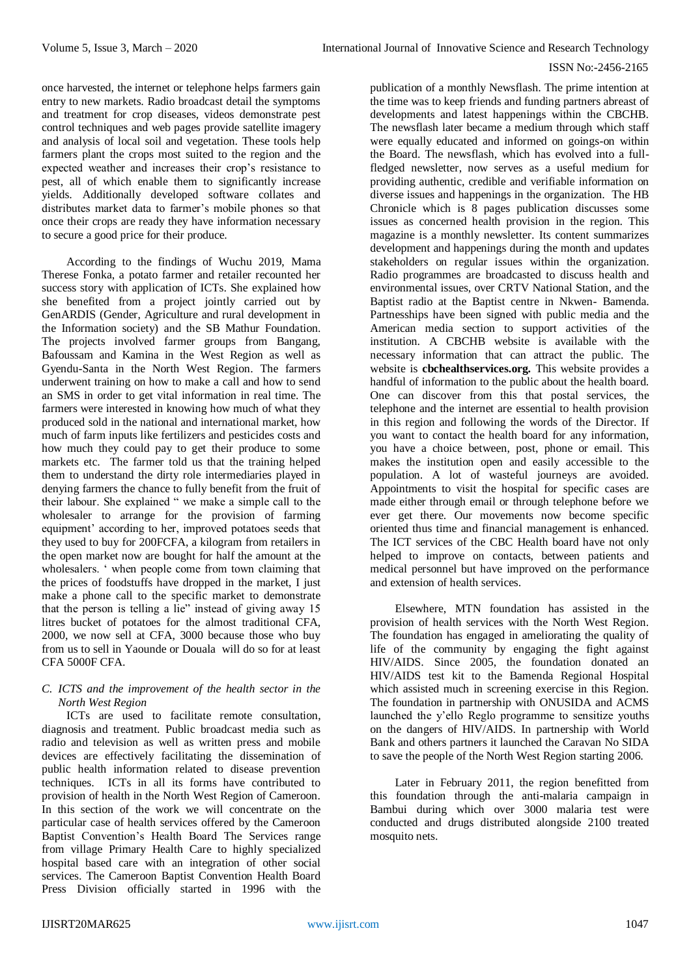#### ISSN No:-2456-2165

once harvested, the internet or telephone helps farmers gain entry to new markets. Radio broadcast detail the symptoms and treatment for crop diseases, videos demonstrate pest control techniques and web pages provide satellite imagery and analysis of local soil and vegetation. These tools help farmers plant the crops most suited to the region and the expected weather and increases their crop's resistance to pest, all of which enable them to significantly increase yields. Additionally developed software collates and distributes market data to farmer's mobile phones so that once their crops are ready they have information necessary to secure a good price for their produce.

According to the findings of Wuchu 2019, Mama Therese Fonka, a potato farmer and retailer recounted her success story with application of ICTs. She explained how she benefited from a project jointly carried out by GenARDIS (Gender, Agriculture and rural development in the Information society) and the SB Mathur Foundation. The projects involved farmer groups from Bangang, Bafoussam and Kamina in the West Region as well as Gyendu-Santa in the North West Region. The farmers underwent training on how to make a call and how to send an SMS in order to get vital information in real time. The farmers were interested in knowing how much of what they produced sold in the national and international market, how much of farm inputs like fertilizers and pesticides costs and how much they could pay to get their produce to some markets etc. The farmer told us that the training helped them to understand the dirty role intermediaries played in denying farmers the chance to fully benefit from the fruit of their labour. She explained " we make a simple call to the wholesaler to arrange for the provision of farming equipment' according to her, improved potatoes seeds that they used to buy for 200FCFA, a kilogram from retailers in the open market now are bought for half the amount at the wholesalers. ' when people come from town claiming that the prices of foodstuffs have dropped in the market, I just make a phone call to the specific market to demonstrate that the person is telling a lie" instead of giving away 15 litres bucket of potatoes for the almost traditional CFA, 2000, we now sell at CFA, 3000 because those who buy from us to sell in Yaounde or Douala will do so for at least CFA 5000F CFA.

## *C. ICTS and the improvement of the health sector in the North West Region*

ICTs are used to facilitate remote consultation, diagnosis and treatment. Public broadcast media such as radio and television as well as written press and mobile devices are effectively facilitating the dissemination of public health information related to disease prevention techniques. ICTs in all its forms have contributed to provision of health in the North West Region of Cameroon. In this section of the work we will concentrate on the particular case of health services offered by the Cameroon Baptist Convention's Health Board The Services range from village Primary Health Care to highly specialized hospital based care with an integration of other social services. The Cameroon Baptist Convention Health Board Press Division officially started in 1996 with the

publication of a monthly Newsflash. The prime intention at the time was to keep friends and funding partners abreast of developments and latest happenings within the CBCHB. The newsflash later became a medium through which staff were equally educated and informed on goings-on within the Board. The newsflash, which has evolved into a fullfledged newsletter, now serves as a useful medium for providing authentic, credible and verifiable information on diverse issues and happenings in the organization. The HB Chronicle which is 8 pages publication discusses some issues as concerned health provision in the region. This magazine is a monthly newsletter. Its content summarizes development and happenings during the month and updates stakeholders on regular issues within the organization. Radio programmes are broadcasted to discuss health and environmental issues, over CRTV National Station, and the Baptist radio at the Baptist centre in Nkwen- Bamenda. Partnesships have been signed with public media and the American media section to support activities of the institution. A CBCHB website is available with the necessary information that can attract the public. The website is **cbchealthservices.org.** This website provides a handful of information to the public about the health board. One can discover from this that postal services, the telephone and the internet are essential to health provision in this region and following the words of the Director. If you want to contact the health board for any information, you have a choice between, post, phone or email. This makes the institution open and easily accessible to the population. A lot of wasteful journeys are avoided. Appointments to visit the hospital for specific cases are made either through email or through telephone before we ever get there. Our movements now become specific oriented thus time and financial management is enhanced. The ICT services of the CBC Health board have not only helped to improve on contacts, between patients and medical personnel but have improved on the performance and extension of health services.

Elsewhere, MTN foundation has assisted in the provision of health services with the North West Region. The foundation has engaged in ameliorating the quality of life of the community by engaging the fight against HIV/AIDS. Since 2005, the foundation donated an HIV/AIDS test kit to the Bamenda Regional Hospital which assisted much in screening exercise in this Region. The foundation in partnership with ONUSIDA and ACMS launched the y'ello Reglo programme to sensitize youths on the dangers of HIV/AIDS. In partnership with World Bank and others partners it launched the Caravan No SIDA to save the people of the North West Region starting 2006.

Later in February 2011, the region benefitted from this foundation through the anti-malaria campaign in Bambui during which over 3000 malaria test were conducted and drugs distributed alongside 2100 treated mosquito nets.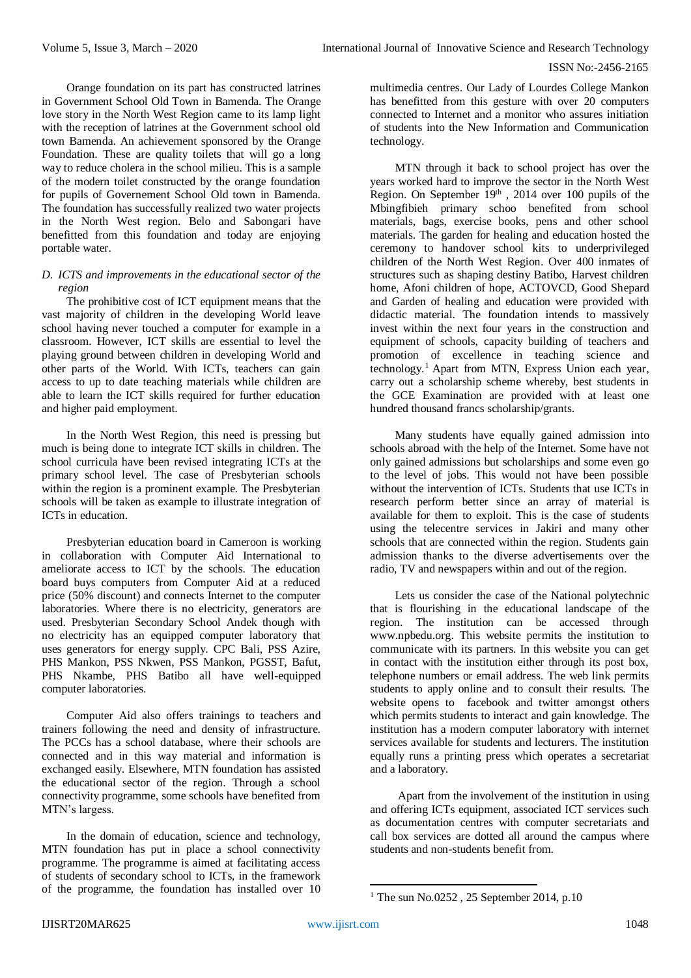Orange foundation on its part has constructed latrines in Government School Old Town in Bamenda. The Orange love story in the North West Region came to its lamp light with the reception of latrines at the Government school old town Bamenda. An achievement sponsored by the Orange Foundation. These are quality toilets that will go a long way to reduce cholera in the school milieu. This is a sample of the modern toilet constructed by the orange foundation for pupils of Governement School Old town in Bamenda. The foundation has successfully realized two water projects in the North West region. Belo and Sabongari have benefitted from this foundation and today are enjoying portable water.

## *D. ICTS and improvements in the educational sector of the region*

The prohibitive cost of ICT equipment means that the vast majority of children in the developing World leave school having never touched a computer for example in a classroom. However, ICT skills are essential to level the playing ground between children in developing World and other parts of the World. With ICTs, teachers can gain access to up to date teaching materials while children are able to learn the ICT skills required for further education and higher paid employment.

In the North West Region, this need is pressing but much is being done to integrate ICT skills in children. The school curricula have been revised integrating ICTs at the primary school level. The case of Presbyterian schools within the region is a prominent example. The Presbyterian schools will be taken as example to illustrate integration of ICTs in education.

Presbyterian education board in Cameroon is working in collaboration with Computer Aid International to ameliorate access to ICT by the schools. The education board buys computers from Computer Aid at a reduced price (50% discount) and connects Internet to the computer laboratories. Where there is no electricity, generators are used. Presbyterian Secondary School Andek though with no electricity has an equipped computer laboratory that uses generators for energy supply. CPC Bali, PSS Azire, PHS Mankon, PSS Nkwen, PSS Mankon, PGSST, Bafut, PHS Nkambe, PHS Batibo all have well-equipped computer laboratories.

Computer Aid also offers trainings to teachers and trainers following the need and density of infrastructure. The PCCs has a school database, where their schools are connected and in this way material and information is exchanged easily. Elsewhere, MTN foundation has assisted the educational sector of the region. Through a school connectivity programme, some schools have benefited from MTN's largess.

In the domain of education, science and technology, MTN foundation has put in place a school connectivity programme. The programme is aimed at facilitating access of students of secondary school to ICTs, in the framework of the programme, the foundation has installed over 10

multimedia centres. Our Lady of Lourdes College Mankon has benefitted from this gesture with over 20 computers connected to Internet and a monitor who assures initiation of students into the New Information and Communication technology.

MTN through it back to school project has over the years worked hard to improve the sector in the North West Region. On September 19<sup>th</sup>, 2014 over 100 pupils of the Mbingfibieh primary schoo benefited from school materials, bags, exercise books, pens and other school materials. The garden for healing and education hosted the ceremony to handover school kits to underprivileged children of the North West Region. Over 400 inmates of structures such as shaping destiny Batibo, Harvest children home, Afoni children of hope, ACTOVCD, Good Shepard and Garden of healing and education were provided with didactic material. The foundation intends to massively invest within the next four years in the construction and equipment of schools, capacity building of teachers and promotion of excellence in teaching science and technology.<sup>1</sup> Apart from MTN, Express Union each year, carry out a scholarship scheme whereby, best students in the GCE Examination are provided with at least one hundred thousand francs scholarship/grants.

Many students have equally gained admission into schools abroad with the help of the Internet. Some have not only gained admissions but scholarships and some even go to the level of jobs. This would not have been possible without the intervention of ICTs. Students that use ICTs in research perform better since an array of material is available for them to exploit. This is the case of students using the telecentre services in Jakiri and many other schools that are connected within the region. Students gain admission thanks to the diverse advertisements over the radio, TV and newspapers within and out of the region.

Lets us consider the case of the National polytechnic that is flourishing in the educational landscape of the region. The institution can be accessed through [www.npbedu.org.](http://www.npbedu.org/) This website permits the institution to communicate with its partners. In this website you can get in contact with the institution either through its post box, telephone numbers or email address. The web link permits students to apply online and to consult their results. The website opens to facebook and twitter amongst others which permits students to interact and gain knowledge. The institution has a modern computer laboratory with internet services available for students and lecturers. The institution equally runs a printing press which operates a secretariat and a laboratory.

Apart from the involvement of the institution in using and offering ICTs equipment, associated ICT services such as documentation centres with computer secretariats and call box services are dotted all around the campus where students and non-students benefit from.

1

<sup>&</sup>lt;sup>1</sup> The sun No.0252, 25 September 2014, p.10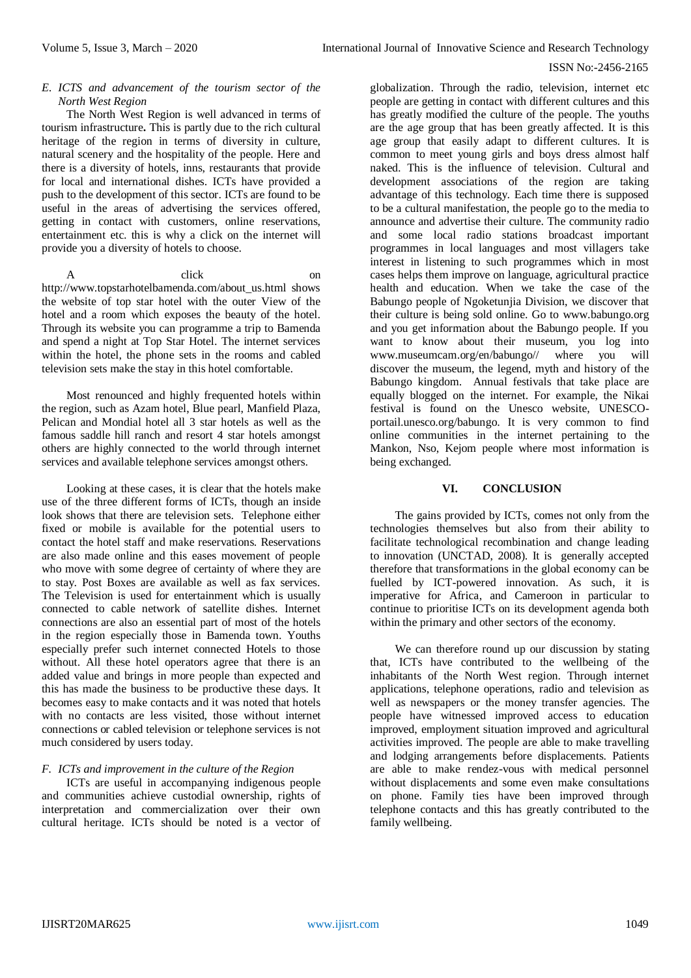#### ISSN No:-2456-2165

#### *E. ICTS and advancement of the tourism sector of the North West Region*

The North West Region is well advanced in terms of tourism infrastructure**.** This is partly due to the rich cultural heritage of the region in terms of diversity in culture, natural scenery and the hospitality of the people. Here and there is a diversity of hotels, inns, restaurants that provide for local and international dishes. ICTs have provided a push to the development of this sector. ICTs are found to be useful in the areas of advertising the services offered, getting in contact with customers, online reservations, entertainment etc. this is why a click on the internet will provide you a diversity of hotels to choose.

A click on http://www.topstarhotelbamenda.com/about\_us.html shows the website of top star hotel with the outer View of the hotel and a room which exposes the beauty of the hotel. Through its website you can programme a trip to Bamenda and spend a night at Top Star Hotel. The internet services within the hotel, the phone sets in the rooms and cabled television sets make the stay in this hotel comfortable.

Most renounced and highly frequented hotels within the region, such as Azam hotel, Blue pearl, Manfield Plaza, Pelican and Mondial hotel all 3 star hotels as well as the famous saddle hill ranch and resort 4 star hotels amongst others are highly connected to the world through internet services and available telephone services amongst others.

Looking at these cases, it is clear that the hotels make use of the three different forms of ICTs, though an inside look shows that there are television sets. Telephone either fixed or mobile is available for the potential users to contact the hotel staff and make reservations. Reservations are also made online and this eases movement of people who move with some degree of certainty of where they are to stay. Post Boxes are available as well as fax services. The Television is used for entertainment which is usually connected to cable network of satellite dishes. Internet connections are also an essential part of most of the hotels in the region especially those in Bamenda town. Youths especially prefer such internet connected Hotels to those without. All these hotel operators agree that there is an added value and brings in more people than expected and this has made the business to be productive these days. It becomes easy to make contacts and it was noted that hotels with no contacts are less visited, those without internet connections or cabled television or telephone services is not much considered by users today.

# *F. ICTs and improvement in the culture of the Region*

ICTs are useful in accompanying indigenous people and communities achieve custodial ownership, rights of interpretation and commercialization over their own cultural heritage. ICTs should be noted is a vector of

globalization. Through the radio, television, internet etc people are getting in contact with different cultures and this has greatly modified the culture of the people. The youths are the age group that has been greatly affected. It is this age group that easily adapt to different cultures. It is common to meet young girls and boys dress almost half naked. This is the influence of television. Cultural and development associations of the region are taking advantage of this technology. Each time there is supposed to be a cultural manifestation, the people go to the media to announce and advertise their culture. The community radio and some local radio stations broadcast important programmes in local languages and most villagers take interest in listening to such programmes which in most cases helps them improve on language, agricultural practice health and education. When we take the case of the Babungo people of Ngoketunjia Division, we discover that their culture is being sold online. Go to [www.babungo.org](http://www.babungo.org/) and you get information about the Babungo people. If you want to know about their museum, you log into [www.museumcam.org/en/babungo//](http://www.museumcam.org/en/babungo/) where you will discover the museum, the legend, myth and history of the Babungo kingdom. Annual festivals that take place are equally blogged on the internet. For example, the Nikai festival is found on the Unesco website, UNESCOportail.unesco.org/babungo. It is very common to find online communities in the internet pertaining to the Mankon, Nso, Kejom people where most information is being exchanged.

## **VI. CONCLUSION**

The gains provided by ICTs, comes not only from the technologies themselves but also from their ability to facilitate technological recombination and change leading to innovation (UNCTAD, 2008). It is generally accepted therefore that transformations in the global economy can be fuelled by ICT-powered innovation. As such, it is imperative for Africa, and Cameroon in particular to continue to prioritise ICTs on its development agenda both within the primary and other sectors of the economy.

We can therefore round up our discussion by stating that, ICTs have contributed to the wellbeing of the inhabitants of the North West region. Through internet applications, telephone operations, radio and television as well as newspapers or the money transfer agencies. The people have witnessed improved access to education improved, employment situation improved and agricultural activities improved. The people are able to make travelling and lodging arrangements before displacements. Patients are able to make rendez-vous with medical personnel without displacements and some even make consultations on phone. Family ties have been improved through telephone contacts and this has greatly contributed to the family wellbeing.